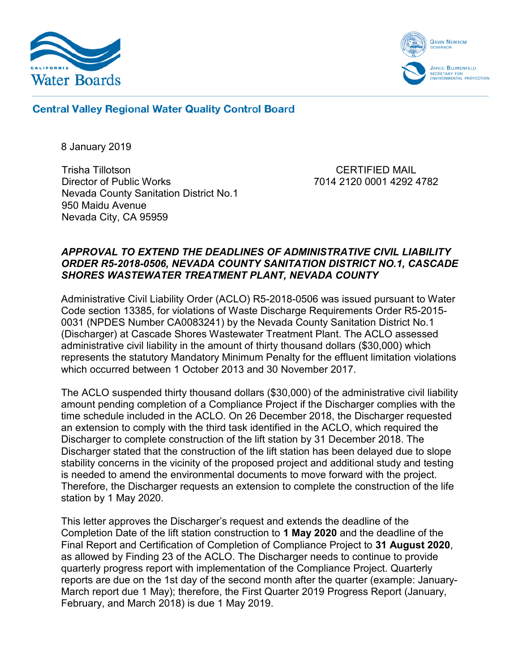



**Central Valley Regional Water Quality Control Board** 

8 January 2019

Trisha Tillotson Director of Public Works Nevada County Sanitation District No.1 950 Maidu Avenue Nevada City, CA 95959

CERTIFIED MAIL 7014 2120 0001 4292 4782

## *APPROVAL TO EXTEND THE DEADLINES OF ADMINISTRATIVE CIVIL LIABILITY ORDER R5-2018-0506, NEVADA COUNTY SANITATION DISTRICT NO.1, CASCADE SHORES WASTEWATER TREATMENT PLANT, NEVADA COUNTY*

Administrative Civil Liability Order (ACLO) R5-2018-0506 was issued pursuant to Water Code section 13385, for violations of Waste Discharge Requirements Order R5-2015- 0031 (NPDES Number CA0083241) by the Nevada County Sanitation District No.1 (Discharger) at Cascade Shores Wastewater Treatment Plant. The ACLO assessed administrative civil liability in the amount of thirty thousand dollars (\$30,000) which represents the statutory Mandatory Minimum Penalty for the effluent limitation violations which occurred between 1 October 2013 and 30 November 2017.

The ACLO suspended thirty thousand dollars (\$30,000) of the administrative civil liability amount pending completion of a Compliance Project if the Discharger complies with the time schedule included in the ACLO. On 26 December 2018, the Discharger requested an extension to comply with the third task identified in the ACLO, which required the Discharger to complete construction of the lift station by 31 December 2018. The Discharger stated that the construction of the lift station has been delayed due to slope stability concerns in the vicinity of the proposed project and additional study and testing is needed to amend the environmental documents to move forward with the project. Therefore, the Discharger requests an extension to complete the construction of the life station by 1 May 2020.

This letter approves the Discharger's request and extends the deadline of the Completion Date of the lift station construction to **1 May 2020** and the deadline of the Final Report and Certification of Completion of Compliance Project to **31 August 2020**, as allowed by Finding 23 of the ACLO. The Discharger needs to continue to provide quarterly progress report with implementation of the Compliance Project. Quarterly reports are due on the 1st day of the second month after the quarter (example: January-March report due 1 May); therefore, the First Quarter 2019 Progress Report (January, February, and March 2018) is due 1 May 2019.